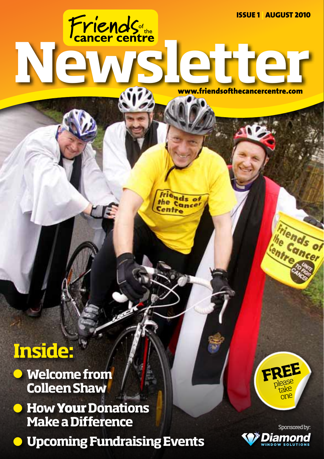www.friendsofthecancercentre.com

riends of the Cancel Centre

# **Inside:**

- **Welcome from**   $\qquad \qquad \bullet$ **Colleen Shaw**
- **e** How **Your** Donations **Make a Difference**
- **Upcoming Fundraising Events**



friends of

the Cand

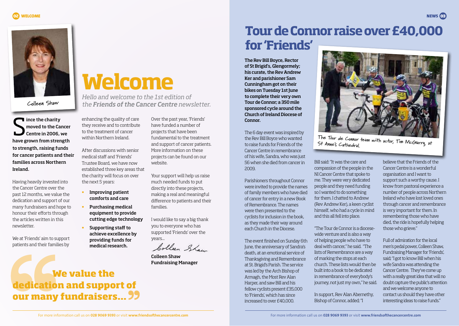

**Colleen Shaw**

S ince the charity moved to the Cancer Centre in 2006, we have grown from strength to strength, raising funds for cancer patients and their families across Northern Ireland.

Having heavily invested into the Cancer Centre over the past 12 months, we value the dedication and support of our many fundraisers and hope to honour their efforts through the articles written in this newsletter.

We at 'Friends' aim to support patients and their families by

# **Welcome**

*Hello and welcome to the 1st edition of the Friends of the Cancer Centre newsletter.*

enhancing the quality of care they receive and to contribute to the treatment of cancer within Northern Ireland.

After discussions with senior medical staff and 'Friends' Trustee Board, we have now established three key areas that the charity will focus on over the next 5 years:

- **•** Improving patient comforts and care
- **•** Purchasing medical equipment to provide cutting edge technology
- **•** Supporting staff to achieve excellence by providing funds for medical research.

 **We value the** 

**dedication and support of** 

**our many fundraisers...**

Over the past year, 'Friends' have funded a number of projects that have been fundamental to the treatment and support of cancer patients. More information on these projects can be found on our website.

Your support will help us raise much needed funds to put directly into these projects, making a real and meaningful difference to patients and their families.

I would like to say a big thank you to everyone who has supported 'Friends' over the years...

bollen Show

Colleen Shaw Fundraising Manager

# **Tour de Connor raise over £40,000 for 'Friends'**

The Rev Bill Boyce, Rector of St Brigid's, Glengormely; his curate, the Rev Andrew Ker and parishioner Sam Cunningham got on their bikes on Tuesday 1st June to complete their very own Tour de Connor; a 350 mile sponsored cycle around the Church of Ireland Diocese of Connor.

The 6 day event was inspired by the Rev Bill Boyce who wanted to raise funds for Friends of the Cancer Centre in remembrance of his wife, Sandra, who was just 56 when she died from cancer in 2009.

Parishioners throughout Connor were invited to provide the names of family members who have died of cancer for entry in a new Book of Remembrance. The names were then presented to the cyclists for inclusion in the book, as they made their way around each Church in the Diocese.

The event finished on Sunday 6th June, the anniversary of Sandra's death, at an emotional service of Thanksgiving and Remembrance at St. Brigid's Parish. The service was led by the Arch Bishop of Armagh, the Most Rev Alan Harper, and saw Bill and his fellow cyclists present £35,000 to 'Friends', which has since increased to over £40,000.



**The Tour de Connor team with actor, Tim McGarry, at St Anne's Cathedral.**

Bill said: "It was the care and compassion of the people in the NI Cancer Centre that spoke to me. They were very dedicated people and they need funding so I wanted to do something for them. I chatted to Andrew (Rev Andrew Ker), a keen cyclist himself, who had a cycle in mind and this all fell into place.

"The Tour de Connor is a diocesewide venture and is also a way of helping people who have to deal with cancer," he said. "The lists of Remembrance are a way of marking the stops at each church. These lists would then be built into a book to be dedicated in remembrance of everybody's journey, not just my own," he said.

In support, Rev Alan Abernethy, Bishop of Connor, added; "I

believe that the Friends of the Cancer Centre is a wonderful organisation and I want to support such a worthy cause. I know from pastoral experience a number of people across Northern Ireland who have lost loved ones through cancer and remembrance is very important for them. In remembering those who have died, the ride is hopefully helping those who grieve."

Full of admiration for the local men's pedal power, Colleen Shaw, Fundraising Manager for 'Friends', said; "I got to know Bill when his wife Sandra was attending the Cancer Centre. They've come up with a really great idea that will no doubt capture the public's attention and we welcome anyone to contact us should they have other interesting ideas to raise funds."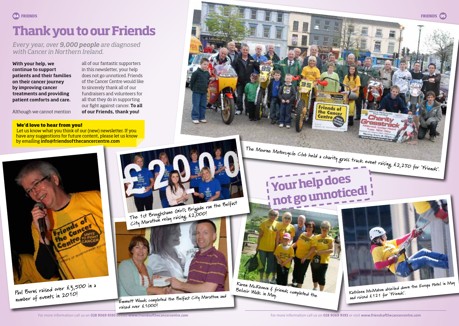# **Thank you to our Friends**

*Every year, over 9,000 people are diagnosed with Cancer in Northern Ireland.*

With your help, we continue to support patients and their families on their cancer journey by improving cancer treatments and providing patient comforts and care.

Although we cannot mention

all of our fantastic supporters in this newsletter, your help does not go unnoticed. Friends of the Cancer Centre would like to sincerely thank all of our fundraisers and volunteers for all that they do in supporting our fight against cancer. To all of our Friends, thank you!

#### **We'd love to hear from you!**

Let us know what you think of our (new) newsletter. If you have any suggestions for future content, please let us know by emailing info@friendsofthecancercentre.com



**Paul Burns raised over £3,500 in a number of events in 2010!**

**The 1st Broughshane Girl's Brigade ran the Belfast City Marathon relay raising £2,000!**



**Emmett Woods completed the Belfast City Marathon and raised over £1000!**

**The Mourne Motorcycle Club held a charity grass track event raising £2,250 for 'Friends'.**

# **Your help does not go unnoticed!**

**Friends of** the Cancer Centre



**Kathleen McMahon abseiled down the Europa Hotel in May** 

**and raised £121 for 'Friends'.**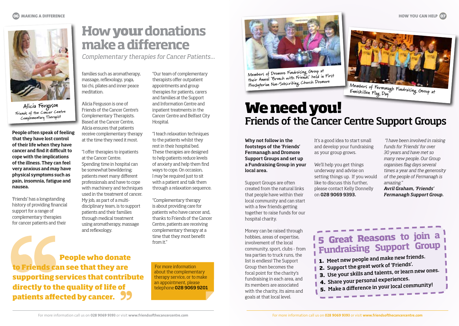**HOW YOU CAN HELP 07** 



**Alicia Ferguson Friends of the Cancer Centre Complementary Therapist**

People often speak of feeling that they have lost control of their life when they have cancer and find it difficult to cope with the implications of the illness. They can feel very anxious and may have physical symptoms such as pain, insomnia, fatigue and nausea.

'Friends' has a longstanding history of providing financial support for a range of complementary therapies for cancer patients and their

## **How your donations make a difference**

*Complementary therapies for Cancer Patients...*

families such as aromatherapy, massage, reflexology, yoga, tai chi, pilates and inner peace meditation.

Alicia Ferguson is one of Friends of the Cancer Centre's Complementary Therapists. Based at the Cancer Centre, Alicia ensures that patients receive complementary therapy at the time they need it most.

"I offer therapies to inpatients at the Cancer Centre. Spending time in hospital can be somewhat bewildering; patients meet many different professionals and have to cope with machinery and techniques used in the treatment of cancer. My job, as part of a multidisciplinary team, is to support patients and their families through medical treatment using aromatherapy, massage and reflexology.

"Our team of complementary therapists offer outpatient appointments and group therapies for patients, carers and families at the Support and Information Centre and inpatient treatments in the Cancer Centre and Belfast City Hospital.

"I teach relaxation techniques to the patients whilst they rest in their hospital bed. These therapies are designed to help patients reduce levels of anxiety and help them find ways to cope. On occasion, I may be required just to sit with a patient and talk them through a relaxation sequence.

"Complementary therapy is about providing care for patients who have cancer and, thanks to Friends of the Cancer Centre, patients are receiving complementary therapy at a time that they most benefit from it"

 **People who donate to Friends can see that they are supporting services that contribute directly to the quality of life of patients affected by cancer.**

For more information about the complementary therapy service, or to make an appointment, please telephone 028 9069 9201



**Members of Dromore Fundraising Group at their Annual 'Brunch with Friends' held in First Presbyterian Non-Subscribing Church Dromore**

# **We need you!** Friends of the Cancer Centre Support Groups **Members of Fermanagh Fundraising Group at Enniskillen Flag Day**

Why not follow in the footsteps of the 'Friends' Fermanagh and Dromore Support Groups and set up a Fundraising Group in your local area.

Support Groups are often created from the natural links that people have within their local community and can start with a few friends getting together to raise funds for our hospital charity.

Money can be raised through hobbies, areas of expertise, involvement of the local community, sport, clubs - from tea parties to truck runs, the list is endless! The Support Group then becomes the focal point for the charity's fundraising in each area, and its members are associated with the charity, its aims and goals at that local level.

It's a good idea to start small and develop your fundraising as your group grows.

We'll help you get things underway and advise on setting things up. If you would like to discuss this further, please contact Kelly Donnelly on 028 9069 9393.

 *"I have been involved in raising funds for 'Friends' for over 30 years and have met so many new people. Our Group organises flag days several times a year and the generosity of the people of Fermanagh is amazing." Avril Graham, 'Friends' Fermanagh Support Group.*

### **5 Great Reasons to join a Fundraising Support Group**

- **1.** Meet new people and make new friends.
- **2.** Support the great work of 'Friends'.
- **3.** Use your skills and talents, or learn new ones.
- **4.** Share your personal experiences.
- **5.** Make a difference in your local community!

For more information call us on **028 9069 9393** or visit **www.friendsofthecancercentre.com**